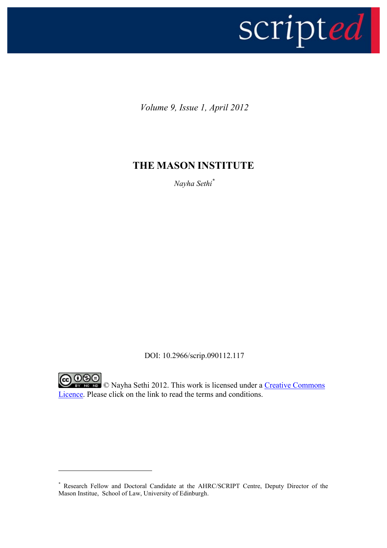

*Volume 9, Issue 1, April 2012*

# **THE MASON INSTITUTE**

*Nayha Sethi\**

DOI: 10.2966/scrip.090112.117



<u>.</u>

<sup>\*</sup> Research Fellow and Doctoral Candidate at the AHRC/SCRIPT Centre, Deputy Director of the Mason Institue, School of Law, University of Edinburgh.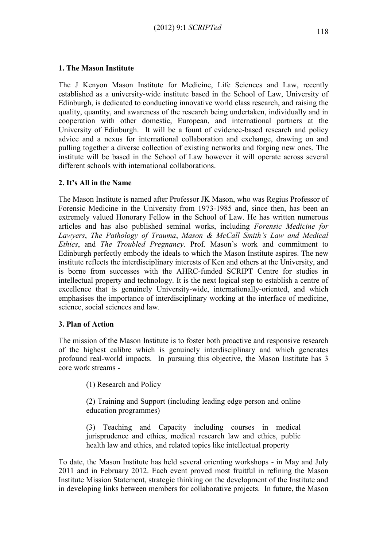#### **1. The Mason Institute**

The J Kenyon Mason Institute for Medicine, Life Sciences and Law, recently established as a university-wide institute based in the School of Law, University of Edinburgh, is dedicated to conducting innovative world class research, and raising the quality, quantity, and awareness of the research being undertaken, individually and in cooperation with other domestic, European, and international partners at the University of Edinburgh. It will be a fount of evidence-based research and policy advice and a nexus for international collaboration and exchange, drawing on and pulling together a diverse collection of existing networks and forging new ones. The institute will be based in the School of Law however it will operate across several different schools with international collaborations.

# **2. It's All in the Name**

The Mason Institute is named after Professor JK Mason, who was Regius Professor of Forensic Medicine in the University from 1973-1985 and, since then, has been an extremely valued Honorary Fellow in the School of Law. He has written numerous articles and has also published seminal works, including *Forensic Medicine for Lawyers*, *The Pathology of Trauma*, *Mason & McCall Smith's Law and Medical Ethics*, and *The Troubled Pregnancy*. Prof. Mason's work and commitment to Edinburgh perfectly embody the ideals to which the Mason Institute aspires. The new institute reflects the interdisciplinary interests of Ken and others at the University, and is borne from successes with the AHRC-funded SCRIPT Centre for studies in intellectual property and technology. It is the next logical step to establish a centre of excellence that is genuinely University-wide, internationally-oriented, and which emphasises the importance of interdisciplinary working at the interface of medicine, science, social sciences and law.

#### **3. Plan of Action**

The mission of the Mason Institute is to foster both proactive and responsive research of the highest calibre which is genuinely interdisciplinary and which generates profound real-world impacts. In pursuing this objective, the Mason Institute has 3 core work streams -

(1) Research and Policy

(2) Training and Support (including leading edge person and online education programmes)

(3) Teaching and Capacity including courses in medical jurisprudence and ethics, medical research law and ethics, public health law and ethics, and related topics like intellectual property

To date, the Mason Institute has held several orienting workshops - in May and July 2011 and in February 2012. Each event proved most fruitful in refining the Mason Institute Mission Statement, strategic thinking on the development of the Institute and in developing links between members for collaborative projects. In future, the Mason